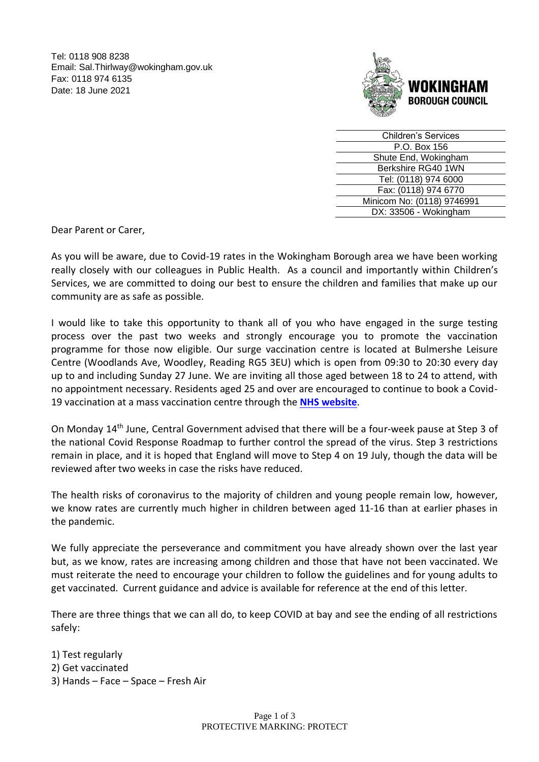Tel: 0118 908 8238 Email: Sal.Thirlway@wokingham.gov.uk Fax: 0118 974 6135 Date: 18 June 2021



| <b>Children's Services</b> |
|----------------------------|
| P.O. Box 156               |
| Shute End, Wokingham       |
| Berkshire RG40 1WN         |
| Tel: (0118) 974 6000       |
| Fax: (0118) 974 6770       |
| Minicom No: (0118) 9746991 |
| DX: 33506 - Wokingham      |
|                            |

Dear Parent or Carer,

As you will be aware, due to Covid-19 rates in the Wokingham Borough area we have been working really closely with our colleagues in Public Health. As a council and importantly within Children's Services, we are committed to doing our best to ensure the children and families that make up our community are as safe as possible.

I would like to take this opportunity to thank all of you who have engaged in the surge testing process over the past two weeks and strongly encourage you to promote the vaccination programme for those now eligible. Our surge vaccination centre is located at Bulmershe Leisure Centre (Woodlands Ave, Woodley, Reading RG5 3EU) which is open from 09:30 to 20:30 every day up to and including Sunday 27 June. We are inviting all those aged between 18 to 24 to attend, with no appointment necessary. Residents aged 25 and over are encouraged to continue to book a Covid-19 vaccination at a mass vaccination centre through the **[NHS website](https://www.nhs.uk/conditions/coronavirus-covid-19/coronavirus-vaccination/book-coronavirus-vaccination/)**.

On Monday 14th June, Central Government advised that there will be a four-week pause at Step 3 of the national Covid Response Roadmap to further control the spread of the virus. Step 3 restrictions remain in place, and it is hoped that England will move to Step 4 on 19 July, though the data will be reviewed after two weeks in case the risks have reduced.

The health risks of coronavirus to the majority of children and young people remain low, however, we know rates are currently much higher in children between aged 11-16 than at earlier phases in the pandemic.

We fully appreciate the perseverance and commitment you have already shown over the last year but, as we know, rates are increasing among children and those that have not been vaccinated. We must reiterate the need to encourage your children to follow the guidelines and for young adults to get vaccinated. Current guidance and advice is available for reference at the end of this letter.

There are three things that we can all do, to keep COVID at bay and see the ending of all restrictions safely:

1) Test regularly 2) Get vaccinated 3) Hands – Face – Space – Fresh Air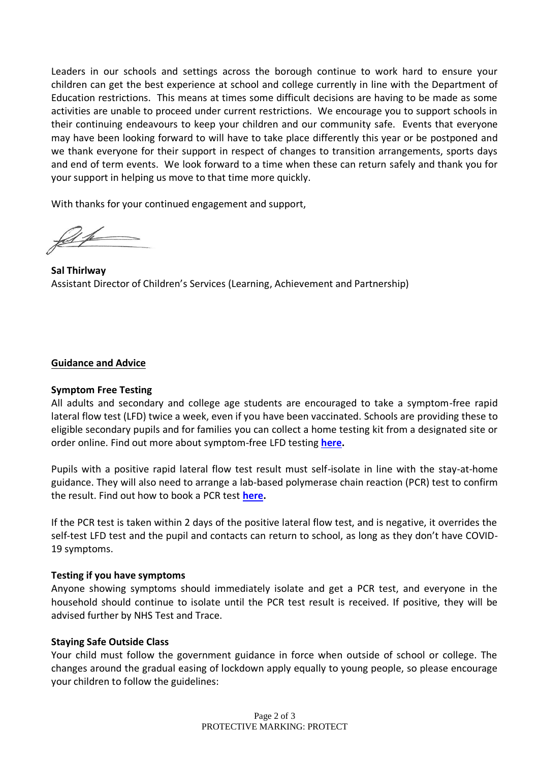Leaders in our schools and settings across the borough continue to work hard to ensure your children can get the best experience at school and college currently in line with the Department of Education restrictions. This means at times some difficult decisions are having to be made as some activities are unable to proceed under current restrictions. We encourage you to support schools in their continuing endeavours to keep your children and our community safe. Events that everyone may have been looking forward to will have to take place differently this year or be postponed and we thank everyone for their support in respect of changes to transition arrangements, sports days and end of term events. We look forward to a time when these can return safely and thank you for your support in helping us move to that time more quickly.

With thanks for your continued engagement and support,

**Sal Thirlway** Assistant Director of Children's Services (Learning, Achievement and Partnership)

## **Guidance and Advice**

### **Symptom Free Testing**

All adults and secondary and college age students are encouraged to take a symptom-free rapid lateral flow test (LFD) twice a week, even if you have been vaccinated. Schools are providing these to eligible secondary pupils and for families you can collect a home testing kit from a designated site or order online. Find out more about symptom-free LFD testing **[here.](https://www.nhs.uk/conditions/coronavirus-covid-19/testing/regular-rapid-coronavirus-tests-if-you-do-not-have-symptoms/)**

Pupils with a positive rapid lateral flow test result must self-isolate in line with the stay-at-home guidance. They will also need to arrange a lab-based polymerase chain reaction (PCR) test to confirm the result. Find out how to book a PCR test **[here.](https://www.gov.uk/get-coronavirus-test)**

If the PCR test is taken within 2 days of the positive lateral flow test, and is negative, it overrides the self-test LFD test and the pupil and contacts can return to school, as long as they don't have COVID-19 symptoms.

### **Testing if you have symptoms**

Anyone showing symptoms should immediately isolate and get a PCR test, and everyone in the household should continue to isolate until the PCR test result is received. If positive, they will be advised further by NHS Test and Trace.

### **Staying Safe Outside Class**

Your child must follow the government guidance in force when outside of school or college. The changes around the gradual easing of lockdown apply equally to young people, so please encourage your children to follow the guidelines: